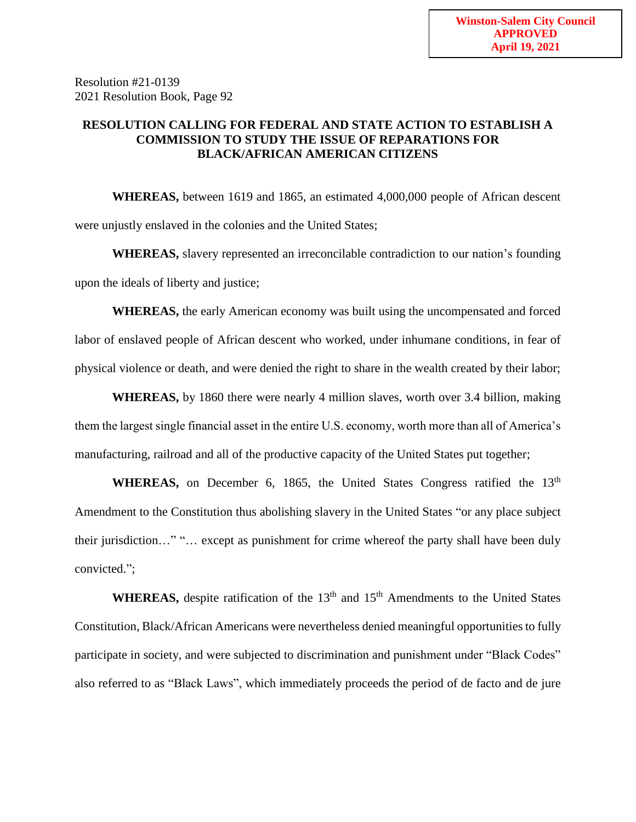Resolution #21-0139 2021 Resolution Book, Page 92

## **RESOLUTION CALLING FOR FEDERAL AND STATE ACTION TO ESTABLISH A COMMISSION TO STUDY THE ISSUE OF REPARATIONS FOR BLACK/AFRICAN AMERICAN CITIZENS**

**WHEREAS,** between 1619 and 1865, an estimated 4,000,000 people of African descent were unjustly enslaved in the colonies and the United States;

**WHEREAS,** slavery represented an irreconcilable contradiction to our nation's founding upon the ideals of liberty and justice;

**WHEREAS,** the early American economy was built using the uncompensated and forced labor of enslaved people of African descent who worked, under inhumane conditions, in fear of physical violence or death, and were denied the right to share in the wealth created by their labor;

**WHEREAS,** by 1860 there were nearly 4 million slaves, worth over 3.4 billion, making them the largest single financial asset in the entire U.S. economy, worth more than all of America's manufacturing, railroad and all of the productive capacity of the United States put together;

**WHEREAS,** on December 6, 1865, the United States Congress ratified the 13<sup>th</sup> Amendment to the Constitution thus abolishing slavery in the United States "or any place subject their jurisdiction…" "… except as punishment for crime whereof the party shall have been duly convicted.";

WHEREAS, despite ratification of the 13<sup>th</sup> and 15<sup>th</sup> Amendments to the United States Constitution, Black/African Americans were nevertheless denied meaningful opportunities to fully participate in society, and were subjected to discrimination and punishment under "Black Codes" also referred to as "Black Laws", which immediately proceeds the period of de facto and de jure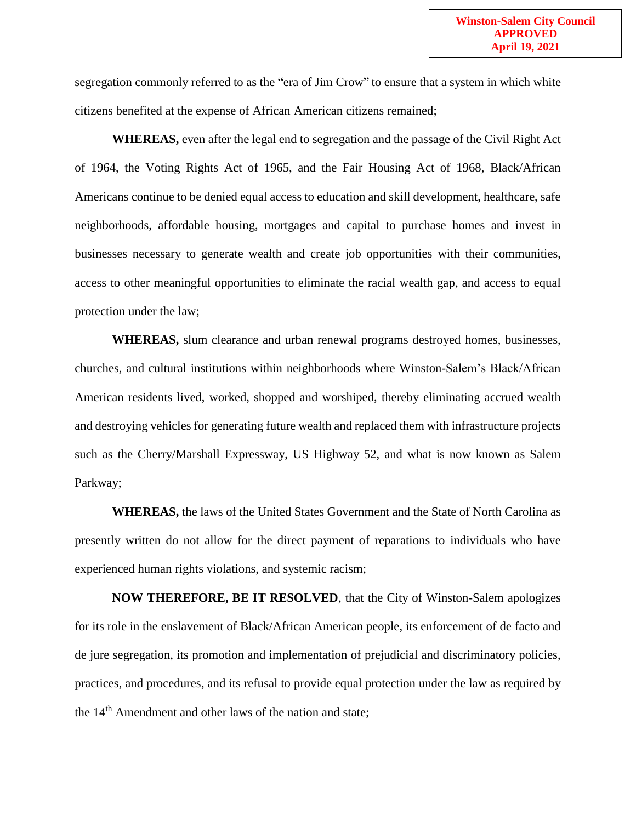segregation commonly referred to as the "era of Jim Crow" to ensure that a system in which white citizens benefited at the expense of African American citizens remained;

**WHEREAS,** even after the legal end to segregation and the passage of the Civil Right Act of 1964, the Voting Rights Act of 1965, and the Fair Housing Act of 1968, Black/African Americans continue to be denied equal access to education and skill development, healthcare, safe neighborhoods, affordable housing, mortgages and capital to purchase homes and invest in businesses necessary to generate wealth and create job opportunities with their communities, access to other meaningful opportunities to eliminate the racial wealth gap, and access to equal protection under the law;

**WHEREAS,** slum clearance and urban renewal programs destroyed homes, businesses, churches, and cultural institutions within neighborhoods where Winston-Salem's Black/African American residents lived, worked, shopped and worshiped, thereby eliminating accrued wealth and destroying vehicles for generating future wealth and replaced them with infrastructure projects such as the Cherry/Marshall Expressway, US Highway 52, and what is now known as Salem Parkway;

**WHEREAS,** the laws of the United States Government and the State of North Carolina as presently written do not allow for the direct payment of reparations to individuals who have experienced human rights violations, and systemic racism;

**NOW THEREFORE, BE IT RESOLVED**, that the City of Winston-Salem apologizes for its role in the enslavement of Black/African American people, its enforcement of de facto and de jure segregation, its promotion and implementation of prejudicial and discriminatory policies, practices, and procedures, and its refusal to provide equal protection under the law as required by the 14<sup>th</sup> Amendment and other laws of the nation and state;